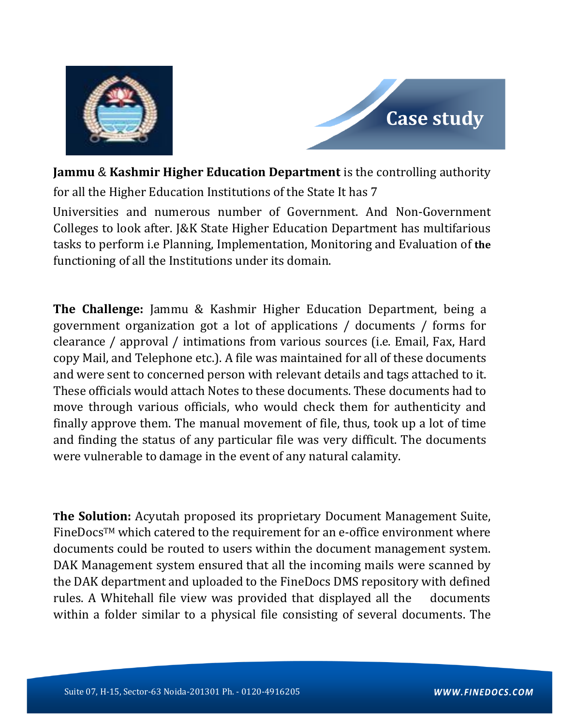



**Jammu** & **Kashmir Higher Education Department** is the controlling authority for all the Higher Education Institutions of the State It has 7

Universities and numerous number of Government. And Non-Government Colleges to look after. J&K State Higher Education Department has multifarious tasks to perform i.e Planning, Implementation, Monitoring and Evaluation of **the** functioning of all the Institutions under its domain.

**The Challenge:** Jammu & Kashmir Higher Education Department, being a government organization got a lot of applications / documents / forms for clearance / approval / intimations from various sources (i.e. Email, Fax, Hard copy Mail, and Telephone etc.). A file was maintained for all of these documents and were sent to concerned person with relevant details and tags attached to it. These officials would attach Notes to these documents. These documents had to move through various officials, who would check them for authenticity and finally approve them. The manual movement of file, thus, took up a lot of time and finding the status of any particular file was very difficult. The documents were vulnerable to damage in the event of any natural calamity.

**The Solution:** Acyutah proposed its proprietary Document Management Suite, FineDocs™ which catered to the requirement for an e-office environment where documents could be routed to users within the document management system. DAK Management system ensured that all the incoming mails were scanned by the DAK department and uploaded to the FineDocs DMS repository with defined rules. A Whitehall file view was provided that displayed all the documents within a folder similar to a physical file consisting of several documents. The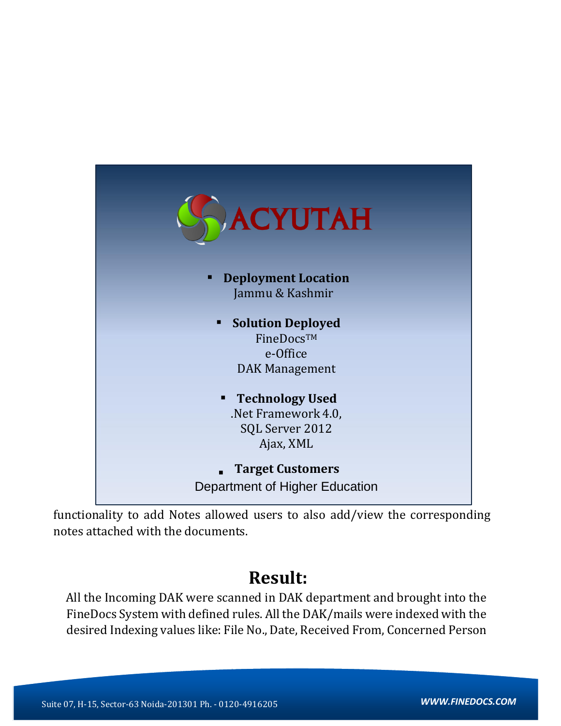

functionality to add Notes allowed users to also add/view the corresponding notes attached with the documents.

## **Result:**

All the Incoming DAK were scanned in DAK department and brought into the FineDocs System with defined rules. All the DAK/mails were indexed with the desired Indexing values like: File No., Date, Received From, Concerned Person

**D-26, Sector-63, Noida-201301 Tel - 0120-4343500**